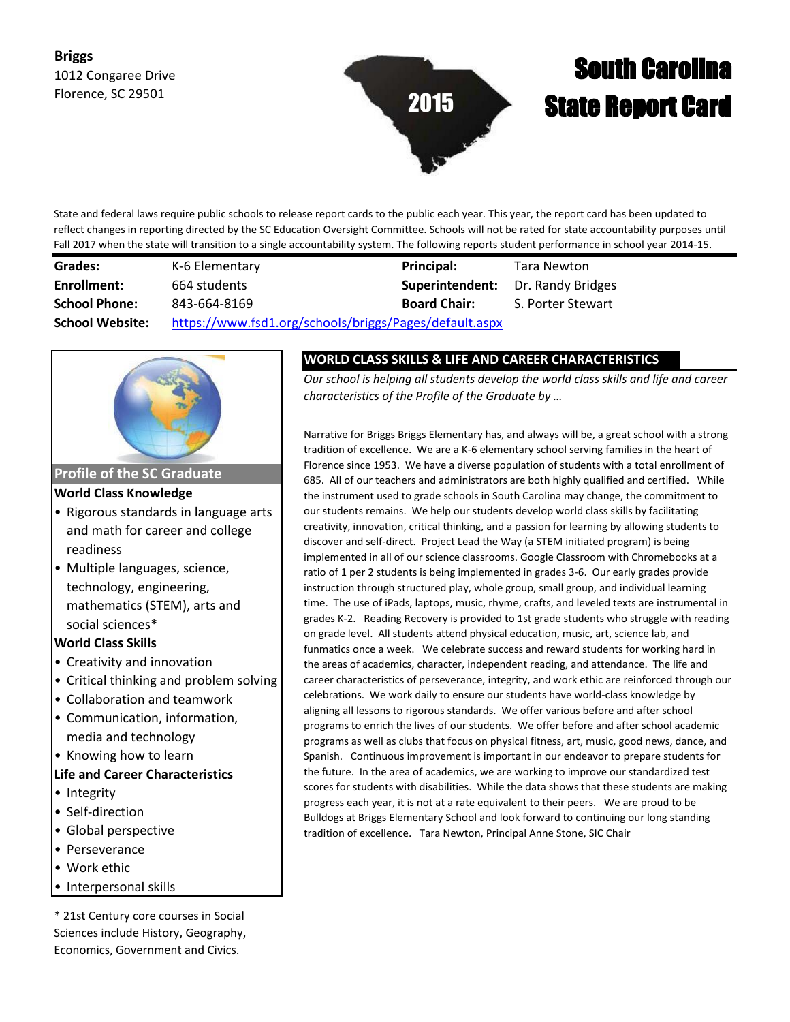# **Briggs** 1012 Congaree Drive Florence, SC 29501



# South Carolina State Report Card

State and federal laws require public schools to release report cards to the public each year. This year, the report card has been updated to reflect changes in reporting directed by the SC Education Oversight Committee. Schools will not be rated for state accountability purposes until Fall 2017 when the state will transition to a single accountability system. The following reports student performance in school year 2014-15.

| Grades:                | K-6 Elementary                                         | <b>Principal:</b>                        | Tara Newton       |
|------------------------|--------------------------------------------------------|------------------------------------------|-------------------|
| Enrollment:            | 664 students                                           | <b>Superintendent:</b> Dr. Randy Bridges |                   |
| <b>School Phone:</b>   | 843-664-8169                                           | <b>Board Chair:</b>                      | S. Porter Stewart |
| <b>School Website:</b> | https://www.fsd1.org/schools/briggs/Pages/default.aspx |                                          |                   |



**Profile of the SC Graduate**

**World Class Knowledge**

- Rigorous standards in language arts and math for career and college readiness
- Multiple languages, science, technology, engineering, mathematics (STEM), arts and social sciences\*

**World Class Skills**

- Creativity and innovation
- Critical thinking and problem solving
- Collaboration and teamwork
- Communication, information, media and technology
- Knowing how to learn

## **Life and Career Characteristics**

- Integrity
- Self-direction
- Global perspective
- Perseverance
- Work ethic
- Interpersonal skills

\* 21st Century core courses in Social Sciences include History, Geography, Economics, Government and Civics.

## **WORLD CLASS SKILLS & LIFE AND CAREER CHARACTERISTICS**

*Our school is helping all students develop the world class skills and life and career characteristics of the Profile of the Graduate by …*

Narrative for Briggs Briggs Elementary has, and always will be, a great school with a strong tradition of excellence. We are a K-6 elementary school serving families in the heart of Florence since 1953. We have a diverse population of students with a total enrollment of 685. All of our teachers and administrators are both highly qualified and certified. While the instrument used to grade schools in South Carolina may change, the commitment to our students remains. We help our students develop world class skills by facilitating creativity, innovation, critical thinking, and a passion for learning by allowing students to discover and self-direct. Project Lead the Way (a STEM initiated program) is being implemented in all of our science classrooms. Google Classroom with Chromebooks at a ratio of 1 per 2 students is being implemented in grades 3-6. Our early grades provide instruction through structured play, whole group, small group, and individual learning time. The use of iPads, laptops, music, rhyme, crafts, and leveled texts are instrumental in grades K-2. Reading Recovery is provided to 1st grade students who struggle with reading on grade level. All students attend physical education, music, art, science lab, and funmatics once a week. We celebrate success and reward students for working hard in the areas of academics, character, independent reading, and attendance. The life and career characteristics of perseverance, integrity, and work ethic are reinforced through our celebrations. We work daily to ensure our students have world-class knowledge by aligning all lessons to rigorous standards. We offer various before and after school programs to enrich the lives of our students. We offer before and after school academic programs as well as clubs that focus on physical fitness, art, music, good news, dance, and Spanish. Continuous improvement is important in our endeavor to prepare students for the future. In the area of academics, we are working to improve our standardized test scores for students with disabilities. While the data shows that these students are making progress each year, it is not at a rate equivalent to their peers. We are proud to be Bulldogs at Briggs Elementary School and look forward to continuing our long standing tradition of excellence. Tara Newton, Principal Anne Stone, SIC Chair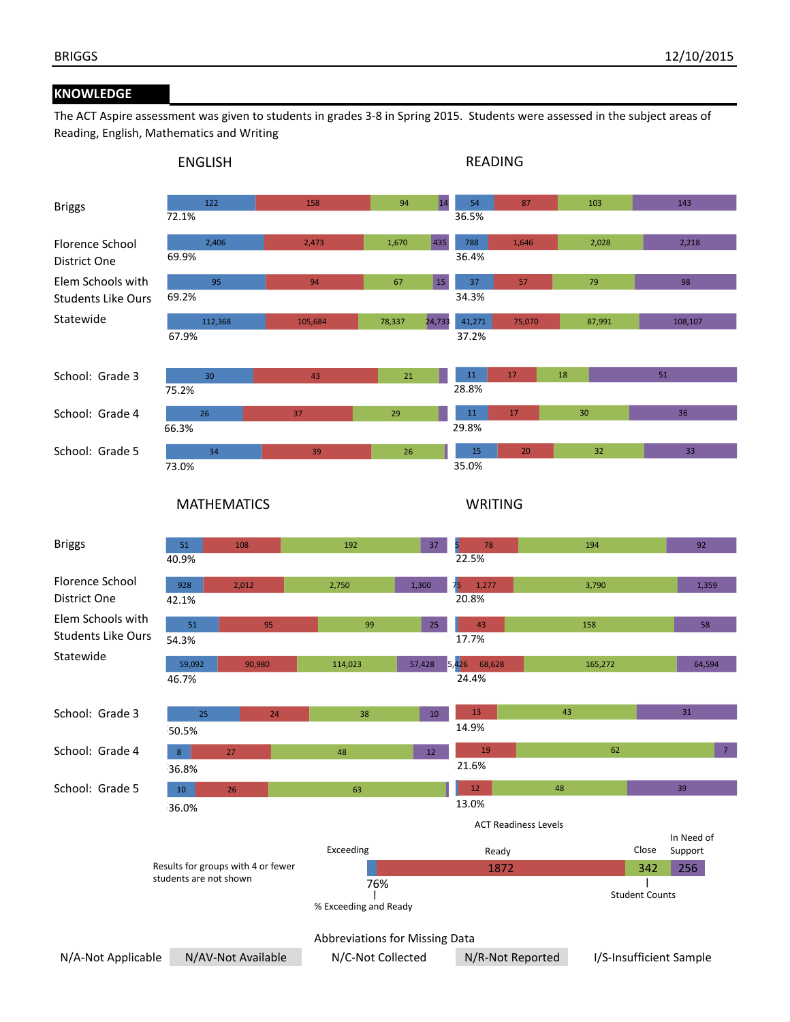## **KNOWLEDGE**

The ACT Aspire assessment was given to students in grades 3-8 in Spring 2015. Students were assessed in the subject areas of Reading, English, Mathematics and Writing

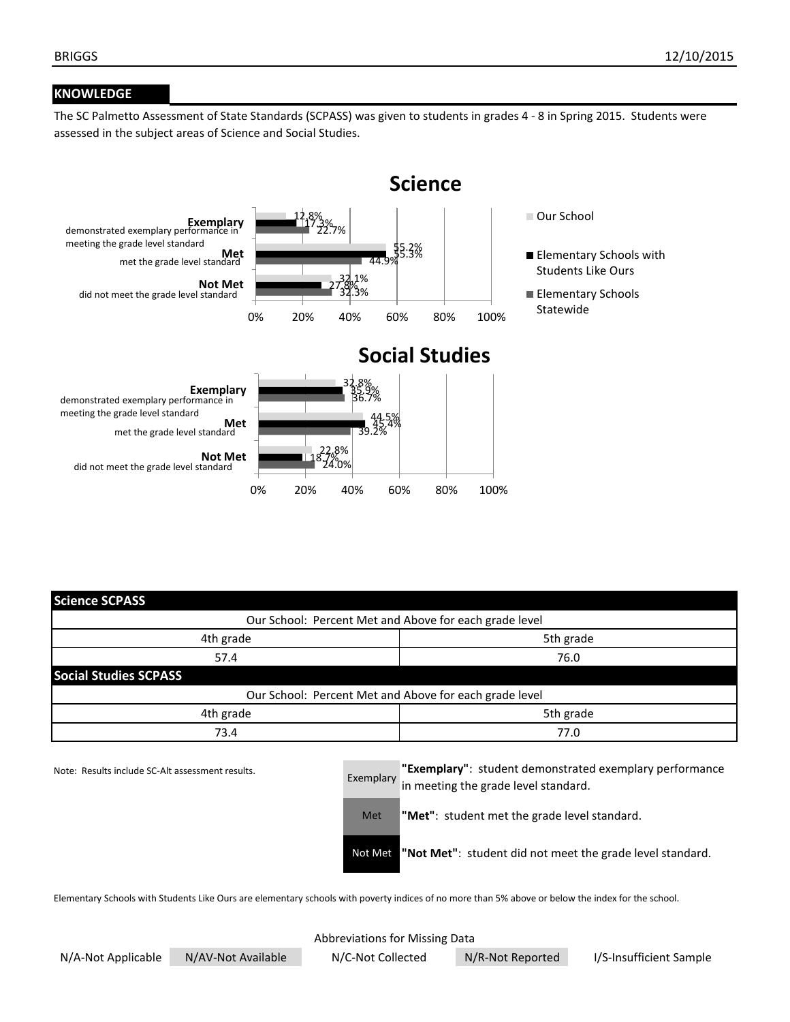## **KNOWLEDGE**

The SC Palmetto Assessment of State Standards (SCPASS) was given to students in grades 4 - 8 in Spring 2015. Students were assessed in the subject areas of Science and Social Studies.



| <b>Science SCPASS</b>                                  |           |  |  |  |
|--------------------------------------------------------|-----------|--|--|--|
| Our School: Percent Met and Above for each grade level |           |  |  |  |
| 4th grade                                              | 5th grade |  |  |  |
| 57.4                                                   | 76.0      |  |  |  |
| <b>Social Studies SCPASS</b>                           |           |  |  |  |
| Our School: Percent Met and Above for each grade level |           |  |  |  |
| 4th grade                                              | 5th grade |  |  |  |
| 73.4                                                   | 77.0      |  |  |  |

Note: Results include SC-Alt assessment results.

Exemplary **"Exemplary"**: student demonstrated exemplary performance in meeting the grade level standard.

Met **"Met"**: student met the grade level standard.

Not Met **"Not Met"**: student did not meet the grade level standard.

Elementary Schools with Students Like Ours are elementary schools with poverty indices of no more than 5% above or below the index for the school.

## Abbreviations for Missing Data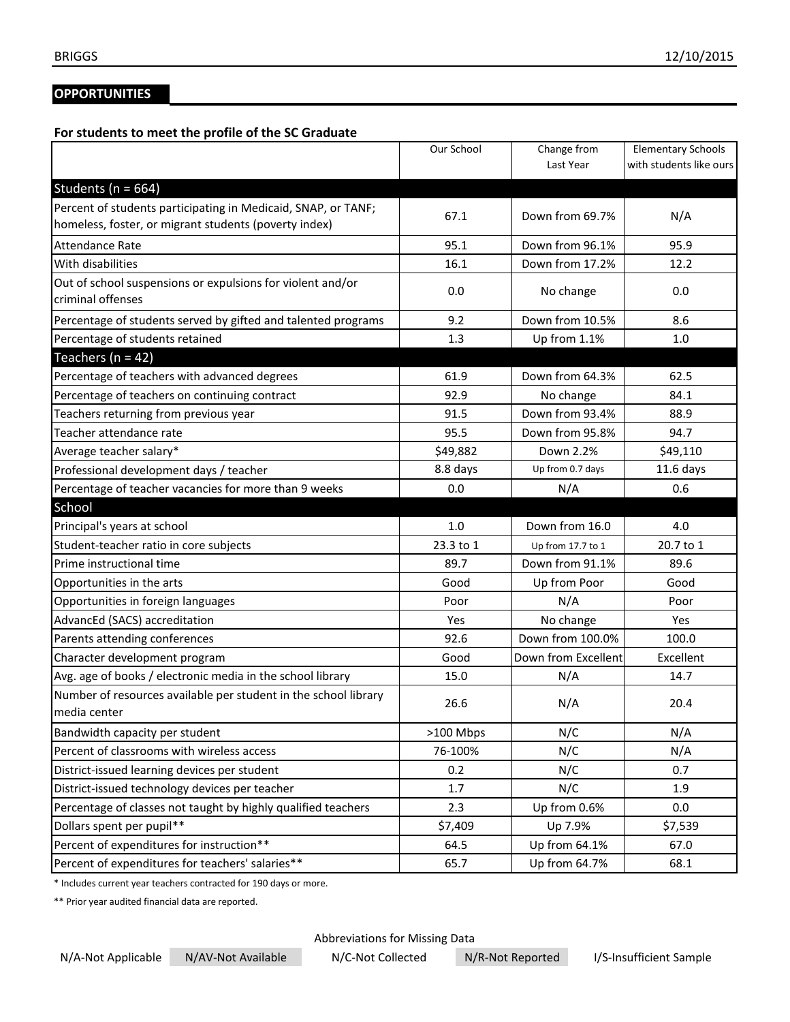# **OPPORTUNITIES**

## **For students to meet the profile of the SC Graduate**

|                                                                                                                        | Our School      | Change from<br>Last Year | <b>Elementary Schools</b><br>with students like ours |
|------------------------------------------------------------------------------------------------------------------------|-----------------|--------------------------|------------------------------------------------------|
|                                                                                                                        |                 |                          |                                                      |
| Students ( $n = 664$ )                                                                                                 |                 |                          |                                                      |
| Percent of students participating in Medicaid, SNAP, or TANF;<br>homeless, foster, or migrant students (poverty index) | 67.1            | Down from 69.7%          | N/A                                                  |
| Attendance Rate                                                                                                        | 95.1            | Down from 96.1%          | 95.9                                                 |
| With disabilities                                                                                                      | 16.1            | Down from 17.2%          | 12.2                                                 |
| Out of school suspensions or expulsions for violent and/or                                                             | 0.0             | No change                | 0.0                                                  |
| criminal offenses                                                                                                      |                 |                          |                                                      |
| Percentage of students served by gifted and talented programs                                                          | 9.2             | Down from 10.5%          | 8.6                                                  |
| Percentage of students retained                                                                                        | 1.3             | Up from 1.1%             | 1.0                                                  |
| Teachers ( $n = 42$ )                                                                                                  |                 |                          |                                                      |
| Percentage of teachers with advanced degrees                                                                           | 61.9            | Down from 64.3%          | 62.5                                                 |
| Percentage of teachers on continuing contract                                                                          | 92.9            | No change                | 84.1                                                 |
| Teachers returning from previous year                                                                                  | 91.5            | Down from 93.4%          | 88.9                                                 |
| Teacher attendance rate                                                                                                | 95.5            | Down from 95.8%          | 94.7                                                 |
| Average teacher salary*                                                                                                | \$49,882        | Down 2.2%                | \$49,110                                             |
| Professional development days / teacher                                                                                | 8.8 days        | Up from 0.7 days         | $11.6$ days                                          |
| Percentage of teacher vacancies for more than 9 weeks                                                                  | 0.0             | N/A                      | 0.6                                                  |
| School                                                                                                                 |                 |                          |                                                      |
| Principal's years at school                                                                                            | 1.0             | Down from 16.0           | 4.0                                                  |
| Student-teacher ratio in core subjects                                                                                 | 23.3 to 1       | Up from 17.7 to 1        | 20.7 to 1                                            |
| Prime instructional time                                                                                               | 89.7            | Down from 91.1%          | 89.6                                                 |
| Opportunities in the arts                                                                                              | Good            | Up from Poor             | Good                                                 |
| Opportunities in foreign languages                                                                                     | Poor            | N/A                      | Poor                                                 |
| AdvancEd (SACS) accreditation                                                                                          | Yes             | No change                | Yes                                                  |
| Parents attending conferences                                                                                          | 92.6            | Down from 100.0%         | 100.0                                                |
| Character development program                                                                                          | Good            | Down from Excellent      | Excellent                                            |
| Avg. age of books / electronic media in the school library                                                             | 15.0            | N/A                      | 14.7                                                 |
| Number of resources available per student in the school library<br>media center                                        | 26.6            | N/A                      | 20.4                                                 |
| Bandwidth capacity per student                                                                                         | >100 Mbps       | N/C                      | N/A                                                  |
| Percent of classrooms with wireless access                                                                             | 76-100%         | N/C                      | N/A                                                  |
| District-issued learning devices per student                                                                           | 0.2             | N/C                      | 0.7                                                  |
| District-issued technology devices per teacher                                                                         | 1.7             | N/C                      | 1.9                                                  |
| Percentage of classes not taught by highly qualified teachers                                                          | 2.3             | Up from 0.6%             | 0.0                                                  |
| Dollars spent per pupil**                                                                                              |                 |                          |                                                      |
|                                                                                                                        |                 | Up 7.9%                  |                                                      |
| Percent of expenditures for instruction**                                                                              | \$7,409<br>64.5 | Up from 64.1%            | \$7,539<br>67.0                                      |

\* Includes current year teachers contracted for 190 days or more.

\*\* Prior year audited financial data are reported.

Abbreviations for Missing Data

N/A-Not Applicable N/AV-Not Available N/C-Not Collected N/R-Not Reported I/S-Insufficient Sample